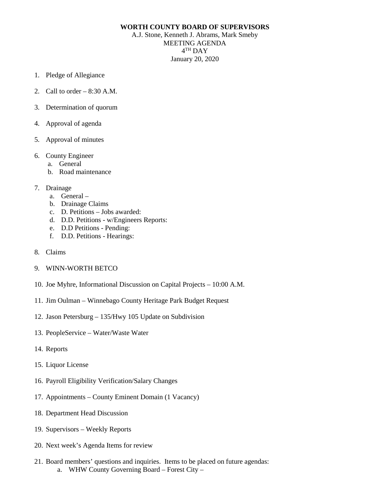## **WORTH COUNTY BOARD OF SUPERVISORS**

A.J. Stone, Kenneth J. Abrams, Mark Smeby MEETING AGENDA 4TH DAY January 20, 2020

- 1. Pledge of Allegiance
- 2. Call to order 8:30 A.M.
- 3. Determination of quorum
- 4. Approval of agenda
- 5. Approval of minutes
- 6. County Engineer
	- a. General
	- b. Road maintenance
- 7. Drainage
	- a. General –
	- b. Drainage Claims
	- c. D. Petitions Jobs awarded:
	- d. D.D. Petitions w/Engineers Reports:
	- e. D.D Petitions Pending:
	- f. D.D. Petitions Hearings:
- 8. Claims
- 9. WINN-WORTH BETCO
- 10. Joe Myhre, Informational Discussion on Capital Projects 10:00 A.M.
- 11. Jim Oulman Winnebago County Heritage Park Budget Request
- 12. Jason Petersburg 135/Hwy 105 Update on Subdivision
- 13. PeopleService Water/Waste Water
- 14. Reports
- 15. Liquor License
- 16. Payroll Eligibility Verification/Salary Changes
- 17. Appointments County Eminent Domain (1 Vacancy)
- 18. Department Head Discussion
- 19. Supervisors Weekly Reports
- 20. Next week's Agenda Items for review
- 21. Board members' questions and inquiries. Items to be placed on future agendas: a. WHW County Governing Board – Forest City –